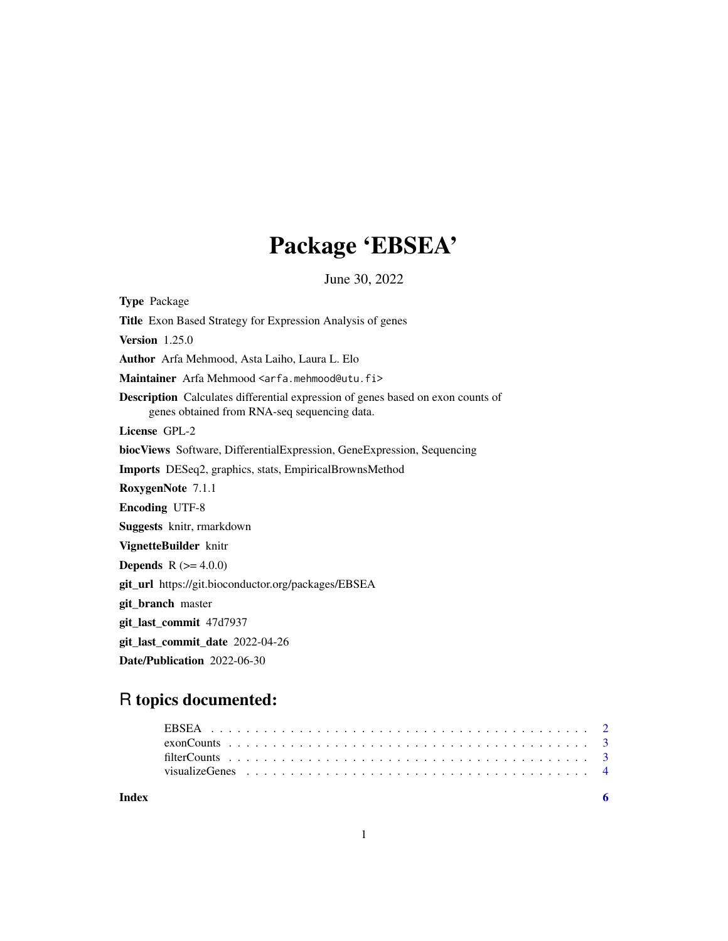## Package 'EBSEA'

June 30, 2022

Type Package Title Exon Based Strategy for Expression Analysis of genes Version 1.25.0 Author Arfa Mehmood, Asta Laiho, Laura L. Elo Maintainer Arfa Mehmood <arfa.mehmood@utu.fi> Description Calculates differential expression of genes based on exon counts of genes obtained from RNA-seq sequencing data. License GPL-2 biocViews Software, DifferentialExpression, GeneExpression, Sequencing Imports DESeq2, graphics, stats, EmpiricalBrownsMethod RoxygenNote 7.1.1 Encoding UTF-8 Suggests knitr, rmarkdown VignetteBuilder knitr **Depends** R  $(>= 4.0.0)$ git\_url https://git.bioconductor.org/packages/EBSEA git\_branch master git\_last\_commit 47d7937 git\_last\_commit\_date 2022-04-26 Date/Publication 2022-06-30

### R topics documented:

**Index** [6](#page-5-0) **6**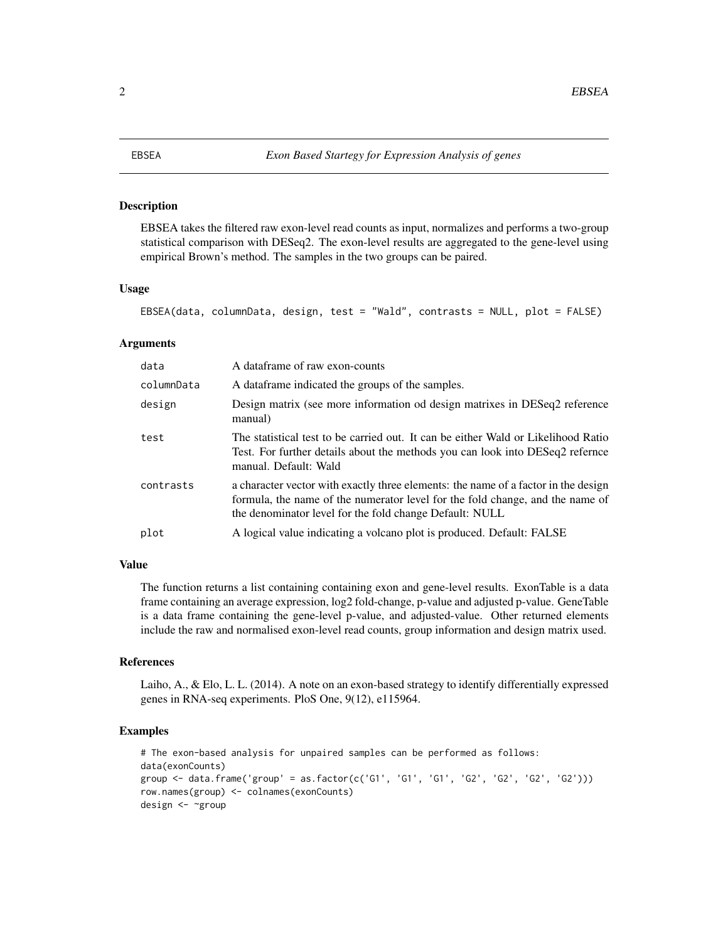#### <span id="page-1-0"></span>Description

EBSEA takes the filtered raw exon-level read counts as input, normalizes and performs a two-group statistical comparison with DESeq2. The exon-level results are aggregated to the gene-level using empirical Brown's method. The samples in the two groups can be paired.

#### Usage

```
EBSEA(data, columnData, design, test = "Wald", contrasts = NULL, plot = FALSE)
```
#### Arguments

| data       | A dataframe of raw exon-counts                                                                                                                                                                                                 |
|------------|--------------------------------------------------------------------------------------------------------------------------------------------------------------------------------------------------------------------------------|
| columnData | A data frame indicated the groups of the samples.                                                                                                                                                                              |
| design     | Design matrix (see more information od design matrixes in DESeq2 reference<br>manual)                                                                                                                                          |
| test       | The statistical test to be carried out. It can be either Wald or Likelihood Ratio<br>Test. For further details about the methods you can look into DESeq2 refernce<br>manual. Default: Wald                                    |
| contrasts  | a character vector with exactly three elements: the name of a factor in the design<br>formula, the name of the numerator level for the fold change, and the name of<br>the denominator level for the fold change Default: NULL |
| plot       | A logical value indicating a volcano plot is produced. Default: FALSE                                                                                                                                                          |

#### Value

The function returns a list containing containing exon and gene-level results. ExonTable is a data frame containing an average expression, log2 fold-change, p-value and adjusted p-value. GeneTable is a data frame containing the gene-level p-value, and adjusted-value. Other returned elements include the raw and normalised exon-level read counts, group information and design matrix used.

#### References

Laiho, A., & Elo, L. L. (2014). A note on an exon-based strategy to identify differentially expressed genes in RNA-seq experiments. PloS One, 9(12), e115964.

#### Examples

```
# The exon-based analysis for unpaired samples can be performed as follows:
data(exonCounts)
group \le -\text{ data frame('group' = as.factor(c('G1', 'G1', 'G1', 'G2', 'G2', 'G2', 'G2'))})row.names(group) <- colnames(exonCounts)
design <- ~group
```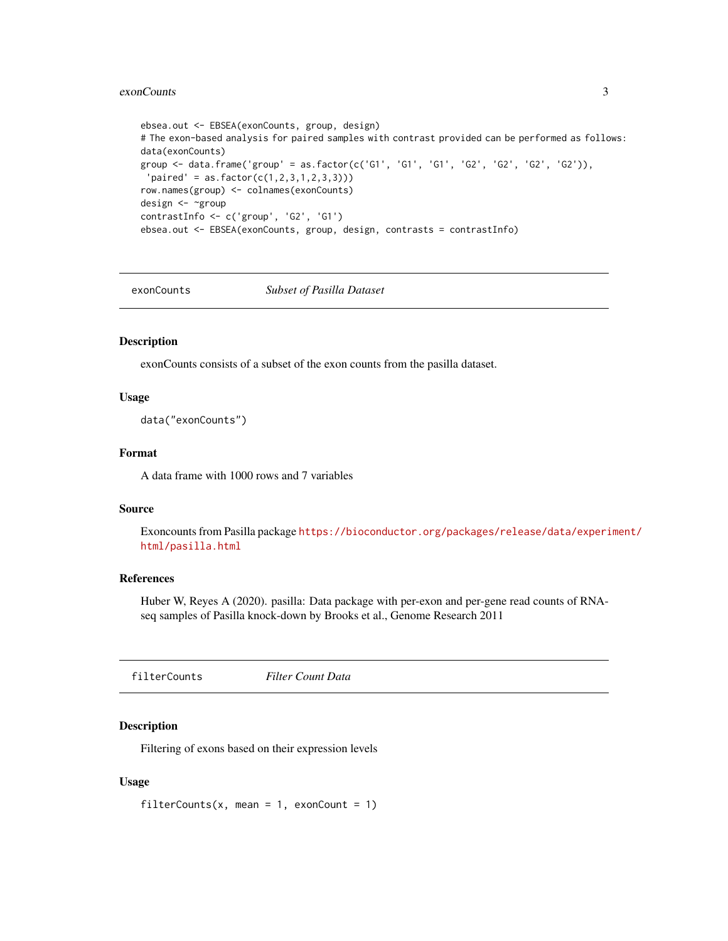#### <span id="page-2-0"></span>exonCounts 3

```
ebsea.out <- EBSEA(exonCounts, group, design)
# The exon-based analysis for paired samples with contrast provided can be performed as follows:
data(exonCounts)
group \leq data-frame('group' = as.factor(c('G1', 'G1', 'G1', 'G2', 'G2', 'G2', 'G2')),
 'partial' = as.factor(c(1, 2, 3, 1, 2, 3, 3)))row.names(group) <- colnames(exonCounts)
design <- ~group
contrastInfo <- c('group', 'G2', 'G1')
ebsea.out <- EBSEA(exonCounts, group, design, contrasts = contrastInfo)
```
exonCounts *Subset of Pasilla Dataset*

#### Description

exonCounts consists of a subset of the exon counts from the pasilla dataset.

#### Usage

data("exonCounts")

#### Format

A data frame with 1000 rows and 7 variables

#### Source

Exoncounts from Pasilla package [https://bioconductor.org/packages/release/data/experi](https://bioconductor.org/packages/release/data/experiment/html/pasilla.html)ment/ [html/pasilla.html](https://bioconductor.org/packages/release/data/experiment/html/pasilla.html)

#### References

Huber W, Reyes A (2020). pasilla: Data package with per-exon and per-gene read counts of RNAseq samples of Pasilla knock-down by Brooks et al., Genome Research 2011

filterCounts *Filter Count Data*

#### Description

Filtering of exons based on their expression levels

#### Usage

filterCounts(x, mean = 1, exonCount = 1)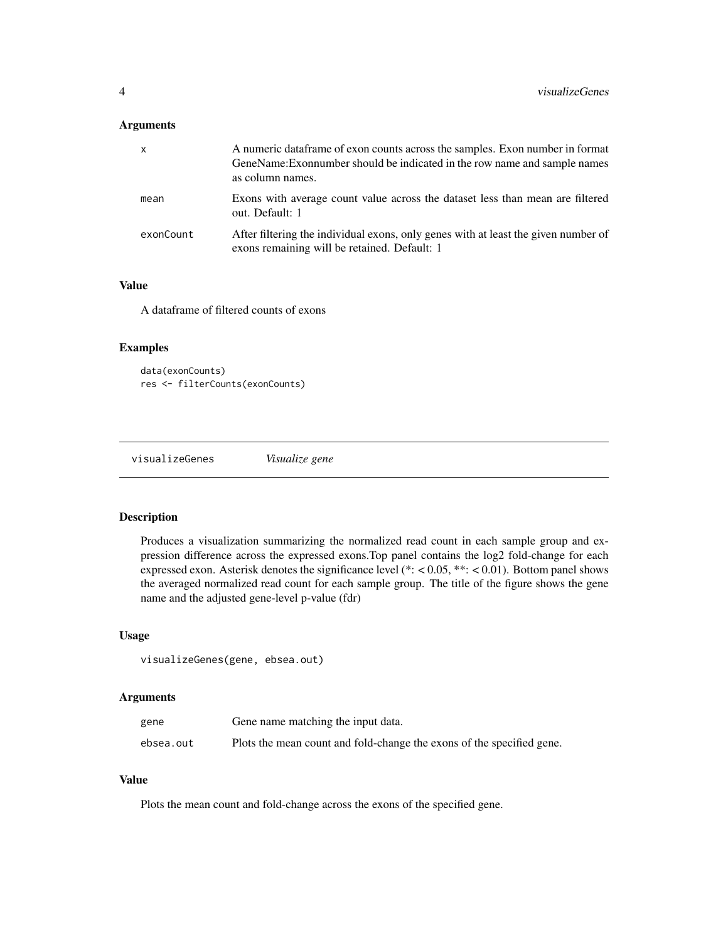#### <span id="page-3-0"></span>Arguments

| $\mathsf{x}$ | A numeric data frame of exon counts across the samples. Exon number in format<br>GeneName: Exonnumber should be indicated in the row name and sample names<br>as column names. |
|--------------|--------------------------------------------------------------------------------------------------------------------------------------------------------------------------------|
| mean         | Exons with average count value across the dataset less than mean are filtered<br>out. Default: 1                                                                               |
| exonCount    | After filtering the individual exons, only genes with at least the given number of<br>exons remaining will be retained. Default: 1                                             |

#### Value

A dataframe of filtered counts of exons

#### Examples

```
data(exonCounts)
res <- filterCounts(exonCounts)
```
visualizeGenes *Visualize gene*

#### Description

Produces a visualization summarizing the normalized read count in each sample group and expression difference across the expressed exons.Top panel contains the log2 fold-change for each expressed exon. Asterisk denotes the significance level (\*: < 0.05, \*\*: < 0.01). Bottom panel shows the averaged normalized read count for each sample group. The title of the figure shows the gene name and the adjusted gene-level p-value (fdr)

#### Usage

```
visualizeGenes(gene, ebsea.out)
```
#### Arguments

| gene      | Gene name matching the input data.                                    |
|-----------|-----------------------------------------------------------------------|
| ebsea.out | Plots the mean count and fold-change the exons of the specified gene. |

#### Value

Plots the mean count and fold-change across the exons of the specified gene.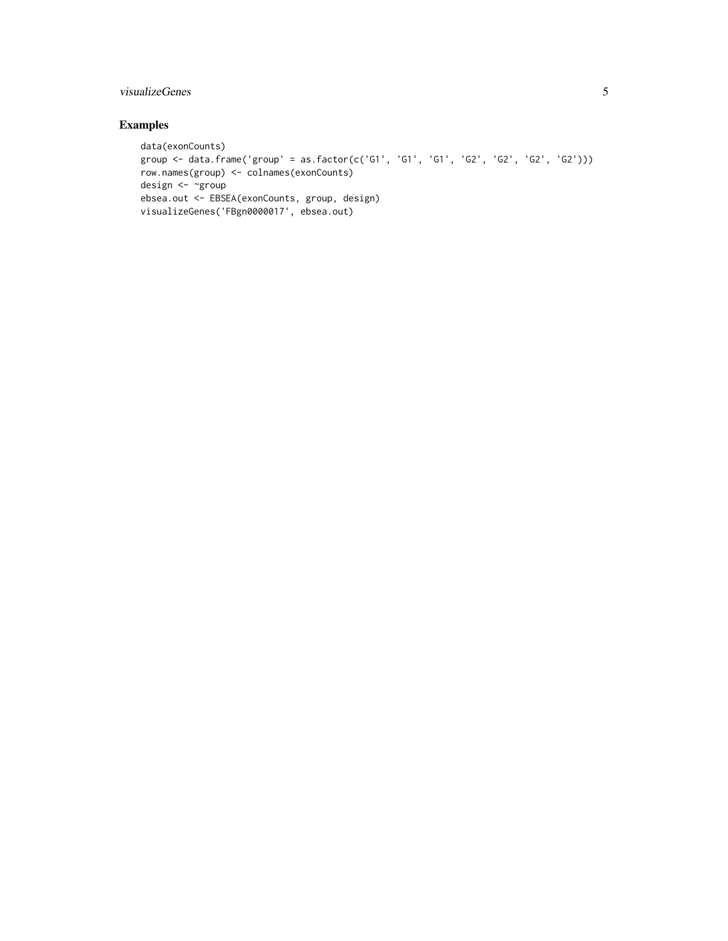#### visualizeGenes 5

#### Examples

```
data(exonCounts)
group <- data.frame('group' = as.factor(c('G1', 'G1', 'G1', 'G2', 'G2', 'G2', 'G2')))
row.names(group) <- colnames(exonCounts)
design <- ~group
ebsea.out <- EBSEA(exonCounts, group, design)
visualizeGenes('FBgn0000017', ebsea.out)
```